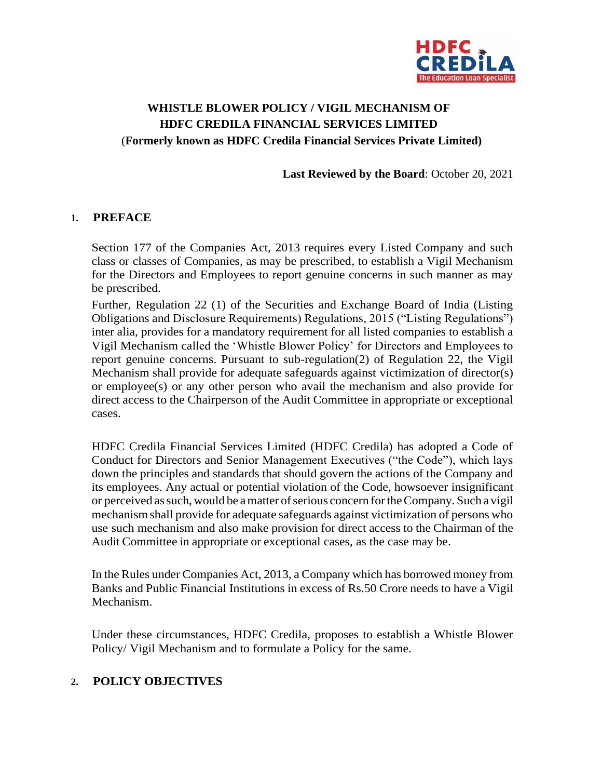

# **WHISTLE BLOWER POLICY / VIGIL MECHANISM OF HDFC CREDILA FINANCIAL SERVICES LIMITED** (**Formerly known as HDFC Credila Financial Services Private Limited)**

**Last Reviewed by the Board**: October 20, 2021

#### **1. PREFACE**

Section 177 of the Companies Act, 2013 requires every Listed Company and such class or classes of Companies, as may be prescribed, to establish a Vigil Mechanism for the Directors and Employees to report genuine concerns in such manner as may be prescribed.

Further, Regulation 22 (1) of the Securities and Exchange Board of India (Listing Obligations and Disclosure Requirements) Regulations, 2015 ("Listing Regulations") inter alia, provides for a mandatory requirement for all listed companies to establish a Vigil Mechanism called the 'Whistle Blower Policy' for Directors and Employees to report genuine concerns. Pursuant to sub-regulation(2) of Regulation 22, the Vigil Mechanism shall provide for adequate safeguards against victimization of director(s) or employee(s) or any other person who avail the mechanism and also provide for direct access to the Chairperson of the Audit Committee in appropriate or exceptional cases.

HDFC Credila Financial Services Limited (HDFC Credila) has adopted a Code of Conduct for Directors and Senior Management Executives ("the Code"), which lays down the principles and standards that should govern the actions of the Company and its employees. Any actual or potential violation of the Code, howsoever insignificant or perceived as such, would be a matter of serious concern for the Company. Such a vigil mechanismshall provide for adequate safeguards against victimization of persons who use such mechanism and also make provision for direct access to the Chairman of the Audit Committee in appropriate or exceptional cases, as the case may be.

In the Rules under Companies Act, 2013, a Company which has borrowed money from Banks and Public Financial Institutions in excess of Rs.50 Crore needs to have a Vigil Mechanism.

Under these circumstances, HDFC Credila, proposes to establish a Whistle Blower Policy/ Vigil Mechanism and to formulate a Policy for the same.

### **2. POLICY OBJECTIVES**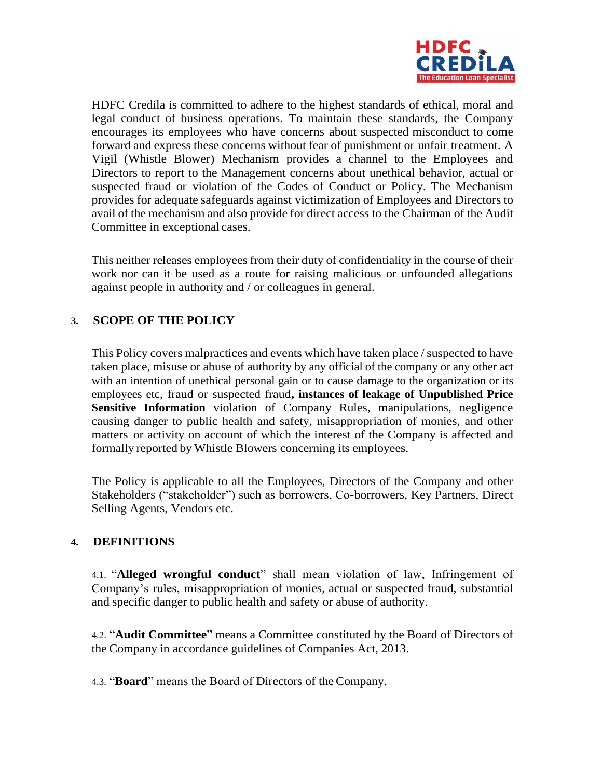

HDFC Credila is committed to adhere to the highest standards of ethical, moral and legal conduct of business operations. To maintain these standards, the Company encourages its employees who have concerns about suspected misconduct to come forward and express these concerns without fear of punishment or unfair treatment. A Vigil (Whistle Blower) Mechanism provides a channel to the Employees and Directors to report to the Management concerns about unethical behavior, actual or suspected fraud or violation of the Codes of Conduct or Policy. The Mechanism provides for adequate safeguards against victimization of Employees and Directors to avail of the mechanism and also provide for direct access to the Chairman of the Audit Committee in exceptional cases.

This neither releases employees from their duty of confidentiality in the course of their work nor can it be used as a route for raising malicious or unfounded allegations against people in authority and / or colleagues in general.

## **3. SCOPE OF THE POLICY**

This Policy covers malpractices and events which have taken place / suspected to have taken place, misuse or abuse of authority by any official of the company or any other act with an intention of unethical personal gain or to cause damage to the organization or its employees etc, fraud or suspected fraud**, instances of leakage of Unpublished Price Sensitive Information** violation of Company Rules, manipulations, negligence causing danger to public health and safety, misappropriation of monies, and other matters or activity on account of which the interest of the Company is affected and formally reported by Whistle Blowers concerning its employees.

The Policy is applicable to all the Employees, Directors of the Company and other Stakeholders ("stakeholder") such as borrowers, Co-borrowers, Key Partners, Direct Selling Agents, Vendors etc.

### **4. DEFINITIONS**

4.1. "**Alleged wrongful conduct**" shall mean violation of law, Infringement of Company's rules, misappropriation of monies, actual or suspected fraud, substantial and specific danger to public health and safety or abuse of authority.

4.2. "**Audit Committee**" means a Committee constituted by the Board of Directors of the Company in accordance guidelines of Companies Act, 2013.

4.3. "**Board**" means the Board of Directors of theCompany.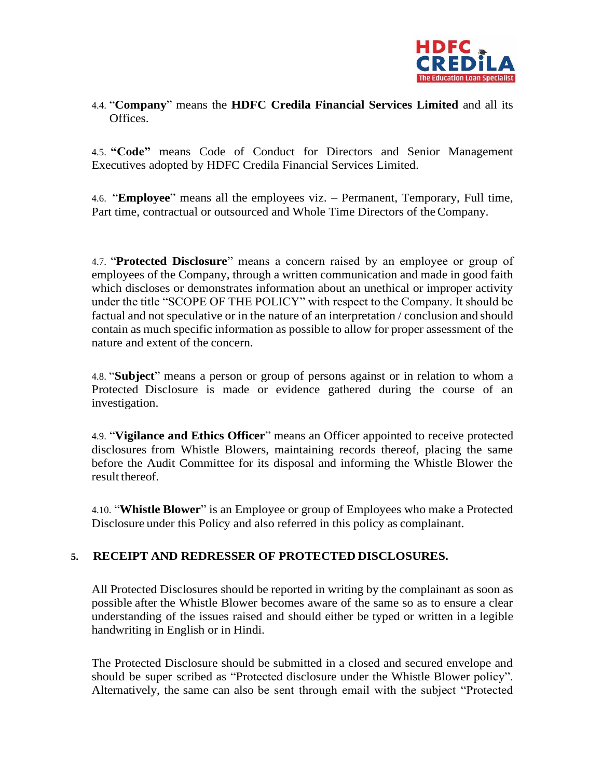

### 4.4. "**Company**" means the **HDFC Credila Financial Services Limited** and all its Offices.

4.5. **"Code"** means Code of Conduct for Directors and Senior Management Executives adopted by HDFC Credila Financial Services Limited.

4.6. "**Employee**" means all the employees viz. – Permanent, Temporary, Full time, Part time, contractual or outsourced and Whole Time Directors of theCompany.

4.7. "**Protected Disclosure**" means a concern raised by an employee or group of employees of the Company, through a written communication and made in good faith which discloses or demonstrates information about an unethical or improper activity under the title "SCOPE OF THE POLICY" with respect to the Company. It should be factual and not speculative or in the nature of an interpretation / conclusion and should contain as much specific information as possible to allow for proper assessment of the nature and extent of the concern.

4.8. "**Subject**" means a person or group of persons against or in relation to whom a Protected Disclosure is made or evidence gathered during the course of an investigation.

4.9. "**Vigilance and Ethics Officer**" means an Officer appointed to receive protected disclosures from Whistle Blowers, maintaining records thereof, placing the same before the Audit Committee for its disposal and informing the Whistle Blower the result thereof.

4.10. "**Whistle Blower**" is an Employee or group of Employees who make a Protected Disclosure under this Policy and also referred in this policy as complainant.

### **5. RECEIPT AND REDRESSER OF PROTECTED DISCLOSURES.**

All Protected Disclosures should be reported in writing by the complainant as soon as possible after the Whistle Blower becomes aware of the same so as to ensure a clear understanding of the issues raised and should either be typed or written in a legible handwriting in English or in Hindi.

The Protected Disclosure should be submitted in a closed and secured envelope and should be super scribed as "Protected disclosure under the Whistle Blower policy". Alternatively, the same can also be sent through email with the subject "Protected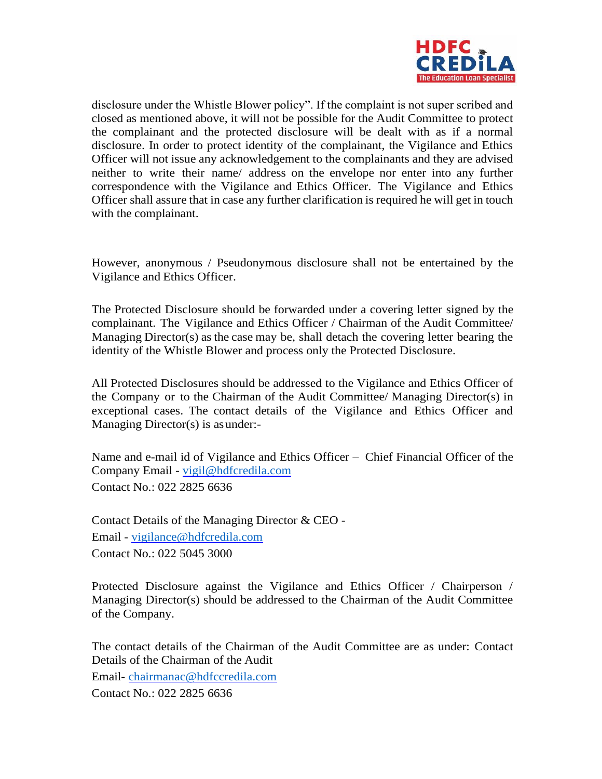

disclosure under the Whistle Blower policy". If the complaint is not super scribed and closed as mentioned above, it will not be possible for the Audit Committee to protect the complainant and the protected disclosure will be dealt with as if a normal disclosure. In order to protect identity of the complainant, the Vigilance and Ethics Officer will not issue any acknowledgement to the complainants and they are advised neither to write their name/ address on the envelope nor enter into any further correspondence with the Vigilance and Ethics Officer. The Vigilance and Ethics Officer shall assure that in case any further clarification is required he will get in touch with the complainant.

However, anonymous / Pseudonymous disclosure shall not be entertained by the Vigilance and Ethics Officer.

The Protected Disclosure should be forwarded under a covering letter signed by the complainant. The Vigilance and Ethics Officer / Chairman of the Audit Committee/ Managing Director(s) as the case may be, shall detach the covering letter bearing the identity of the Whistle Blower and process only the Protected Disclosure.

All Protected Disclosures should be addressed to the Vigilance and Ethics Officer of the Company or to the Chairman of the Audit Committee/ Managing Director(s) in exceptional cases. The contact details of the Vigilance and Ethics Officer and Managing Director(s) is asunder:-

Name and e-mail id of Vigilance and Ethics Officer – Chief Financial Officer of the Company Email - [vigil@hdfcredila.com](mailto:vigil@hdfcredila.com) Contact No.: 022 2825 6636

Contact Details of the Managing Director & CEO - Email - [vigilance@hdfcredila.com](mailto:vigilance@hdfcredila.com) Contact No.: 022 5045 3000

Protected Disclosure against the Vigilance and Ethics Officer / Chairperson / Managing Director(s) should be addressed to the Chairman of the Audit Committee of the Company.

The contact details of the Chairman of the Audit Committee are as under: Contact Details of the Chairman of the Audit

Email- [chairmanac@hdfccredila.com](mailto:chairmanac@hdfccredila.com)

Contact No.: 022 2825 6636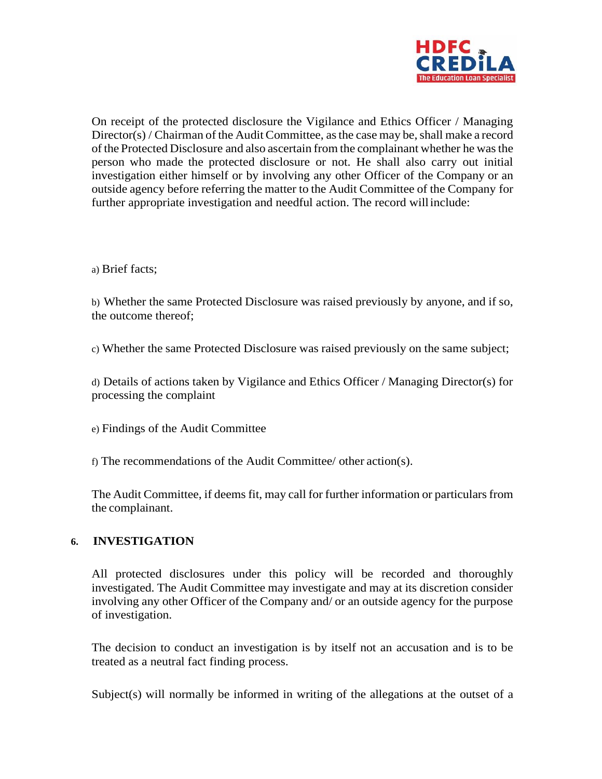

On receipt of the protected disclosure the Vigilance and Ethics Officer / Managing  $Directory()$  / Chairman of the Audit Committee, as the case may be, shall make a record of the Protected Disclosure and also ascertain from the complainant whether he wasthe person who made the protected disclosure or not. He shall also carry out initial investigation either himself or by involving any other Officer of the Company or an outside agency before referring the matter to the Audit Committee of the Company for further appropriate investigation and needful action. The record willinclude:

a) Brief facts;

b) Whether the same Protected Disclosure was raised previously by anyone, and if so, the outcome thereof;

c) Whether the same Protected Disclosure was raised previously on the same subject;

d) Details of actions taken by Vigilance and Ethics Officer / Managing Director(s) for processing the complaint

e) Findings of the Audit Committee

f) The recommendations of the Audit Committee/ other action(s).

The Audit Committee, if deems fit, may call for further information or particularsfrom the complainant.

### **6. INVESTIGATION**

All protected disclosures under this policy will be recorded and thoroughly investigated. The Audit Committee may investigate and may at its discretion consider involving any other Officer of the Company and/ or an outside agency for the purpose of investigation.

The decision to conduct an investigation is by itself not an accusation and is to be treated as a neutral fact finding process.

Subject(s) will normally be informed in writing of the allegations at the outset of a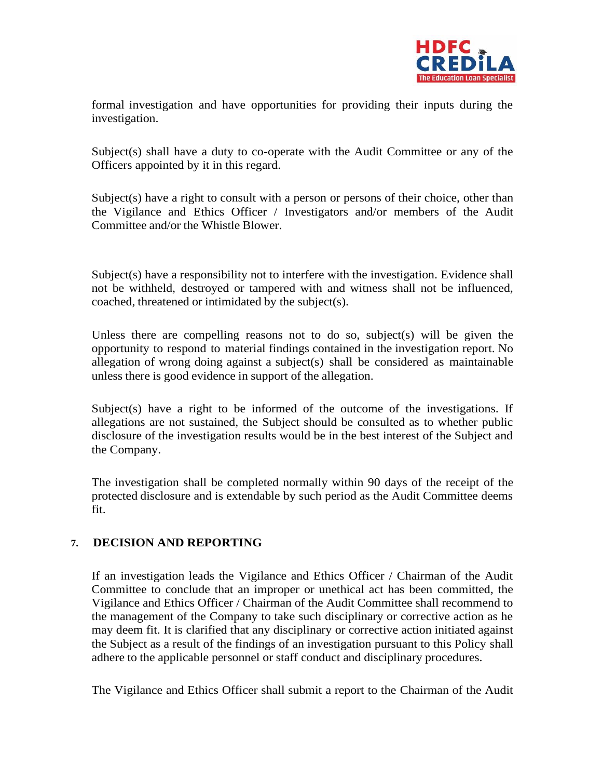

formal investigation and have opportunities for providing their inputs during the investigation.

Subject(s) shall have a duty to co-operate with the Audit Committee or any of the Officers appointed by it in this regard.

Subject(s) have a right to consult with a person or persons of their choice, other than the Vigilance and Ethics Officer / Investigators and/or members of the Audit Committee and/or the Whistle Blower.

Subject(s) have a responsibility not to interfere with the investigation. Evidence shall not be withheld, destroyed or tampered with and witness shall not be influenced, coached, threatened or intimidated by the subject(s).

Unless there are compelling reasons not to do so, subject(s) will be given the opportunity to respond to material findings contained in the investigation report. No allegation of wrong doing against a subject(s) shall be considered as maintainable unless there is good evidence in support of the allegation.

Subject(s) have a right to be informed of the outcome of the investigations. If allegations are not sustained, the Subject should be consulted as to whether public disclosure of the investigation results would be in the best interest of the Subject and the Company.

The investigation shall be completed normally within 90 days of the receipt of the protected disclosure and is extendable by such period as the Audit Committee deems fit.

### **7. DECISION AND REPORTING**

If an investigation leads the Vigilance and Ethics Officer / Chairman of the Audit Committee to conclude that an improper or unethical act has been committed, the Vigilance and Ethics Officer / Chairman of the Audit Committee shall recommend to the management of the Company to take such disciplinary or corrective action as he may deem fit. It is clarified that any disciplinary or corrective action initiated against the Subject as a result of the findings of an investigation pursuant to this Policy shall adhere to the applicable personnel or staff conduct and disciplinary procedures.

The Vigilance and Ethics Officer shall submit a report to the Chairman of the Audit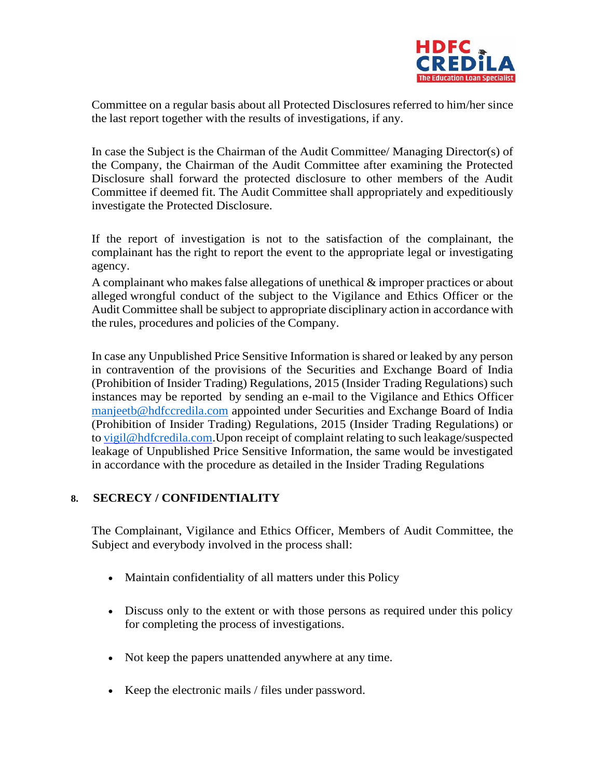

Committee on a regular basis about all Protected Disclosures referred to him/her since the last report together with the results of investigations, if any.

In case the Subject is the Chairman of the Audit Committee/ Managing Director(s) of the Company, the Chairman of the Audit Committee after examining the Protected Disclosure shall forward the protected disclosure to other members of the Audit Committee if deemed fit. The Audit Committee shall appropriately and expeditiously investigate the Protected Disclosure.

If the report of investigation is not to the satisfaction of the complainant, the complainant has the right to report the event to the appropriate legal or investigating agency.

A complainant who makes false allegations of unethical  $\&$  improper practices or about alleged wrongful conduct of the subject to the Vigilance and Ethics Officer or the Audit Committee shall be subject to appropriate disciplinary action in accordance with the rules, procedures and policies of the Company.

In case any Unpublished Price Sensitive Information is shared or leaked by any person in contravention of the provisions of the Securities and Exchange Board of India (Prohibition of Insider Trading) Regulations, 2015 (Insider Trading Regulations) such instances may be reported by sending an e-mail to the Vigilance and Ethics Officer [manjeetb@hdfccredila.com](mailto:manjeetb@hdfccredila.com) appointed under Securities and Exchange Board of India (Prohibition of Insider Trading) Regulations, 2015 (Insider Trading Regulations) or t[o vigil@hdfcredila.com.](mailto:vigil@hdfcredila.com)Upon receipt of complaint relating to such leakage/suspected leakage of Unpublished Price Sensitive Information, the same would be investigated in accordance with the procedure as detailed in the Insider Trading Regulations

### **8. SECRECY / CONFIDENTIALITY**

The Complainant, Vigilance and Ethics Officer, Members of Audit Committee, the Subject and everybody involved in the process shall:

- Maintain confidentiality of all matters under this Policy
- Discuss only to the extent or with those persons as required under this policy for completing the process of investigations.
- Not keep the papers unattended anywhere at any time.
- Keep the electronic mails / files under password.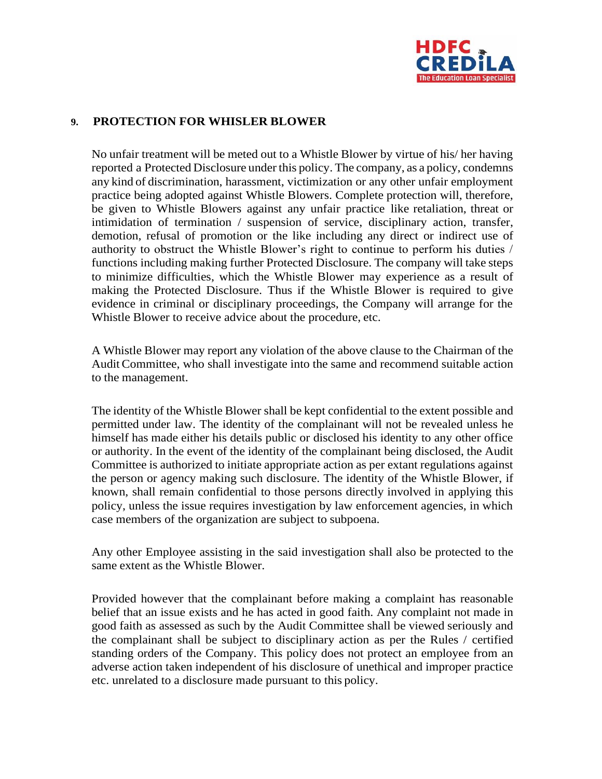

#### **9. PROTECTION FOR WHISLER BLOWER**

No unfair treatment will be meted out to a Whistle Blower by virtue of his/ her having reported a Protected Disclosure under this policy. The company, as a policy, condemns any kind of discrimination, harassment, victimization or any other unfair employment practice being adopted against Whistle Blowers. Complete protection will, therefore, be given to Whistle Blowers against any unfair practice like retaliation, threat or intimidation of termination / suspension of service, disciplinary action, transfer, demotion, refusal of promotion or the like including any direct or indirect use of authority to obstruct the Whistle Blower's right to continue to perform his duties / functions including making further Protected Disclosure. The company will take steps to minimize difficulties, which the Whistle Blower may experience as a result of making the Protected Disclosure. Thus if the Whistle Blower is required to give evidence in criminal or disciplinary proceedings, the Company will arrange for the Whistle Blower to receive advice about the procedure, etc.

A Whistle Blower may report any violation of the above clause to the Chairman of the AuditCommittee, who shall investigate into the same and recommend suitable action to the management.

The identity of the Whistle Blower shall be kept confidential to the extent possible and permitted under law. The identity of the complainant will not be revealed unless he himself has made either his details public or disclosed his identity to any other office or authority. In the event of the identity of the complainant being disclosed, the Audit Committee is authorized to initiate appropriate action as per extant regulations against the person or agency making such disclosure. The identity of the Whistle Blower, if known, shall remain confidential to those persons directly involved in applying this policy, unless the issue requires investigation by law enforcement agencies, in which case members of the organization are subject to subpoena.

Any other Employee assisting in the said investigation shall also be protected to the same extent as the Whistle Blower.

Provided however that the complainant before making a complaint has reasonable belief that an issue exists and he has acted in good faith. Any complaint not made in good faith as assessed as such by the Audit Committee shall be viewed seriously and the complainant shall be subject to disciplinary action as per the Rules / certified standing orders of the Company. This policy does not protect an employee from an adverse action taken independent of his disclosure of unethical and improper practice etc. unrelated to a disclosure made pursuant to this policy.